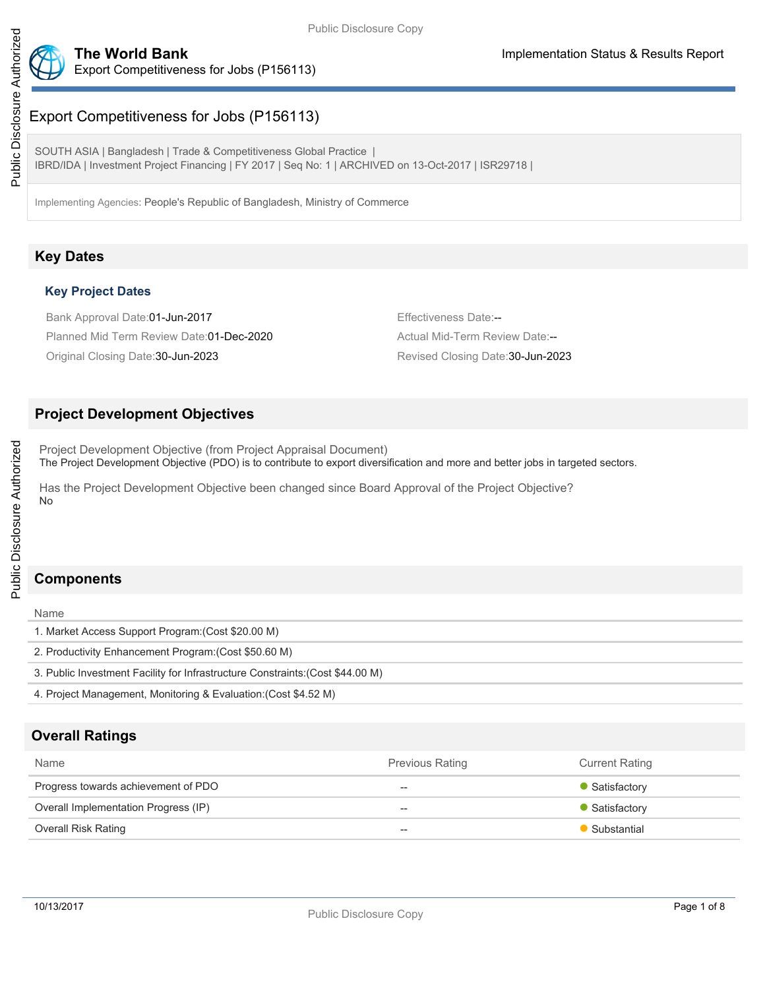

# Export Competitiveness for Jobs (P156113)

SOUTH ASIA | Bangladesh | Trade & Competitiveness Global Practice | IBRD/IDA | Investment Project Financing | FY 2017 | Seq No: 1 | ARCHIVED on 13-Oct-2017 | ISR29718 |

Implementing Agencies: People's Republic of Bangladesh, Ministry of Commerce

## **Key Dates**

#### **Key Project Dates**

Bank Approval Date:01-Jun-2017 **Effectiveness Date:--**Planned Mid Term Review Date:01-Dec-2020 Actual Mid-Term Review Date:--Original Closing Date:30-Jun-2023 Revised Closing Date:30-Jun-2023

## **Project Development Objectives**

Project Development Objective (from Project Appraisal Document) The Project Development Objective (PDO) is to contribute to export diversification and more and better jobs in targeted sectors.

Has the Project Development Objective been changed since Board Approval of the Project Objective? No

## **Components**

Name

| Name                                                                           |
|--------------------------------------------------------------------------------|
| 1. Market Access Support Program: (Cost \$20.00 M)                             |
| 2. Productivity Enhancement Program: (Cost \$50.60 M)                          |
| 3. Public Investment Facility for Infrastructure Constraints: (Cost \$44.00 M) |
| 4. Project Management, Monitoring & Evaluation: (Cost \$4.52 M)                |

## **Overall Ratings**

| <b>Name</b>                          | <b>Previous Rating</b>   | <b>Current Rating</b> |
|--------------------------------------|--------------------------|-----------------------|
| Progress towards achievement of PDO  | $- -$                    | • Satisfactory        |
| Overall Implementation Progress (IP) | $- -$                    | • Satisfactory        |
| Overall Risk Rating                  | $\overline{\phantom{m}}$ | Substantial           |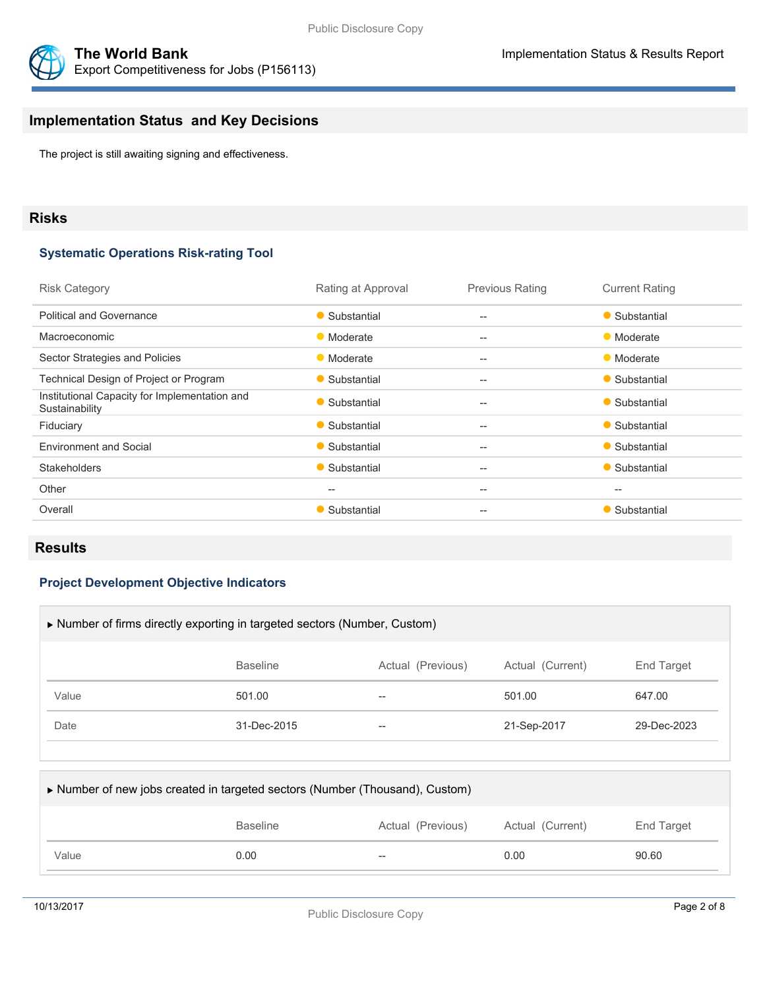



# **Implementation Status and Key Decisions**

The project is still awaiting signing and effectiveness.

#### **Risks**

#### **Systematic Operations Risk-rating Tool**

| <b>Risk Category</b>                                            | Rating at Approval | <b>Previous Rating</b>   | <b>Current Rating</b>                               |
|-----------------------------------------------------------------|--------------------|--------------------------|-----------------------------------------------------|
| <b>Political and Governance</b>                                 | • Substantial      | $\overline{\phantom{a}}$ | • Substantial                                       |
| Macroeconomic                                                   | • Moderate         | $\qquad \qquad -$        | • Moderate                                          |
| Sector Strategies and Policies                                  | • Moderate         | $-$                      | • Moderate                                          |
| Technical Design of Project or Program                          | • Substantial      | $-$                      | • Substantial                                       |
| Institutional Capacity for Implementation and<br>Sustainability | • Substantial      | $\qquad \qquad -$        | • Substantial                                       |
| Fiduciary                                                       | • Substantial      | $-$                      | • Substantial                                       |
| <b>Environment and Social</b>                                   | • Substantial      | $-$                      | • Substantial                                       |
| <b>Stakeholders</b>                                             | • Substantial      | $-$                      | • Substantial                                       |
| Other                                                           | $-$                | $\qquad \qquad -$        | $\hspace{0.05cm} -\hspace{0.05cm} -\hspace{0.05cm}$ |
| Overall                                                         | • Substantial      | $- -$                    | • Substantial                                       |
|                                                                 |                    |                          |                                                     |

#### **Results**

#### **Project Development Objective Indicators**

| Number of firms directly exporting in targeted sectors (Number, Custom) |                 |                   |                  |                   |  |
|-------------------------------------------------------------------------|-----------------|-------------------|------------------|-------------------|--|
|                                                                         | <b>Baseline</b> | Actual (Previous) | Actual (Current) | <b>End Target</b> |  |
| Value                                                                   | 501.00          | $- -$             | 501.00           | 647.00            |  |
| Date                                                                    | 31-Dec-2015     | $- -$             | 21-Sep-2017      | 29-Dec-2023       |  |
|                                                                         |                 |                   |                  |                   |  |

| Number of new jobs created in targeted sectors (Number (Thousand), Custom) |                 |                   |                  |            |  |  |
|----------------------------------------------------------------------------|-----------------|-------------------|------------------|------------|--|--|
|                                                                            | <b>Baseline</b> | Actual (Previous) | Actual (Current) | End Target |  |  |
| Value                                                                      | 0.00            | $- -$             | 0.00             | 90.60      |  |  |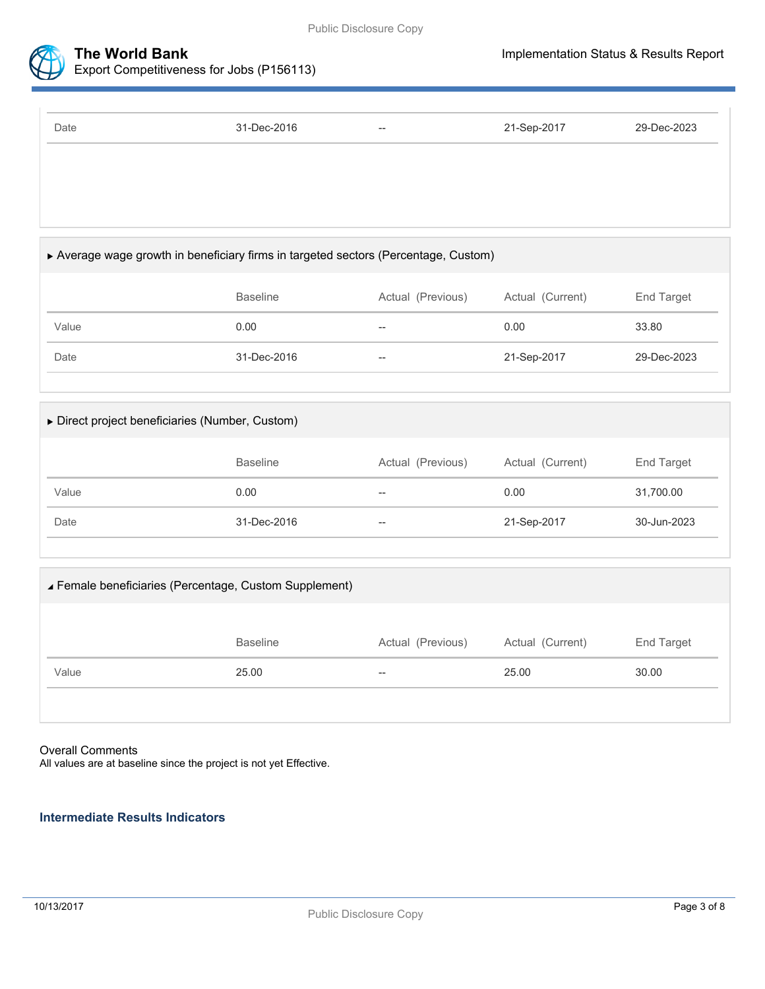



Export Competitiveness for Jobs (P156113)

| Date | 31-Dec-2016 | $\hspace{0.05cm} -$ | 21-Sep-2017 | 29-Dec-2023 |
|------|-------------|---------------------|-------------|-------------|
|      |             |                     |             |             |
|      |             |                     |             |             |
|      |             |                     |             |             |

## Average wage growth in beneficiary firms in targeted sectors (Percentage, Custom)

|       | <b>Baseline</b> | Actual (Previous) | Actual (Current) | End Target  |
|-------|-----------------|-------------------|------------------|-------------|
| Value | 0.00            | $\hspace{0.05cm}$ | 0.00             | 33.80       |
| Date  | 31-Dec-2016     | $- -$             | 21-Sep-2017      | 29-Dec-2023 |

## Direct project beneficiaries (Number, Custom)

|       | <b>Baseline</b> | Actual (Previous) | Actual (Current) | End Target  |
|-------|-----------------|-------------------|------------------|-------------|
| Value | 0.00            | $- -$             | 0.00             | 31,700.00   |
| Date  | 31-Dec-2016     | $- -$             | 21-Sep-2017      | 30-Jun-2023 |

# Female beneficiaries (Percentage, Custom Supplement)

|       | <b>Baseline</b> | Actual (Previous) | Actual (Current) | End Target |
|-------|-----------------|-------------------|------------------|------------|
| Value | 25.00           | $- -$             | 25.00            | 30.00      |
|       |                 |                   |                  |            |

## Overall Comments

All values are at baseline since the project is not yet Effective.

## **Intermediate Results Indicators**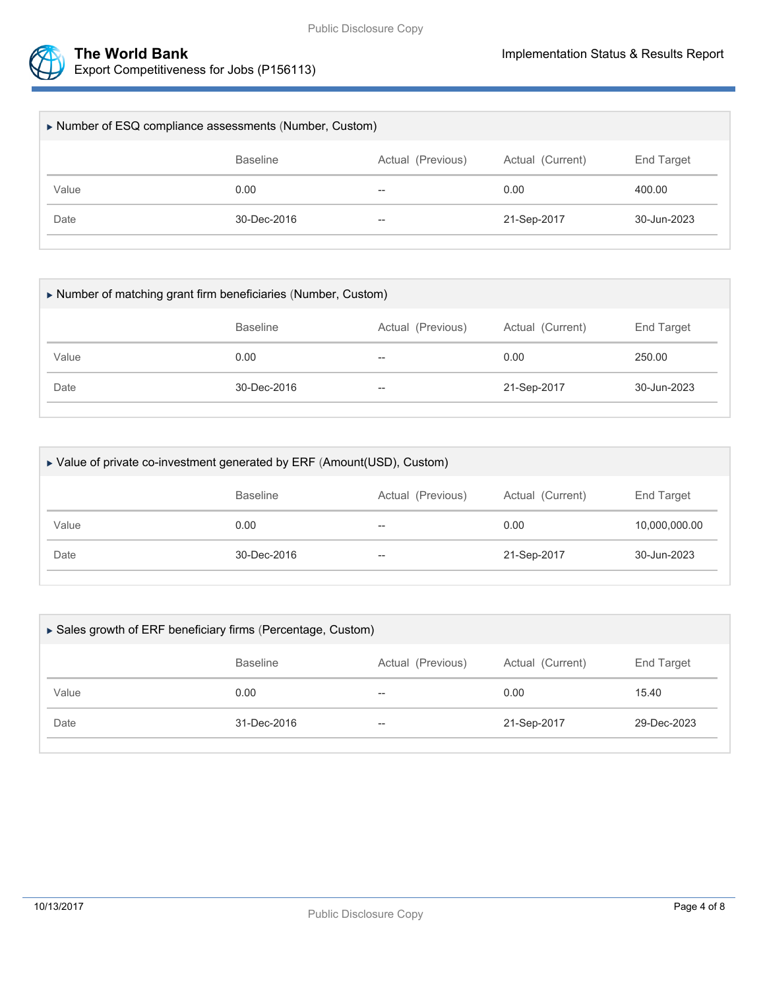



Export Competitiveness for Jobs (P156113)

| Number of ESQ compliance assessments (Number, Custom) |                 |                   |                  |             |  |
|-------------------------------------------------------|-----------------|-------------------|------------------|-------------|--|
|                                                       | <b>Baseline</b> | Actual (Previous) | Actual (Current) | End Target  |  |
| Value                                                 | 0.00            | $- -$             | 0.00             | 400.00      |  |
| Date                                                  | 30-Dec-2016     | $- -$             | 21-Sep-2017      | 30-Jun-2023 |  |
|                                                       |                 |                   |                  |             |  |

| Number of matching grant firm beneficiaries (Number, Custom) |                 |                          |                  |             |  |
|--------------------------------------------------------------|-----------------|--------------------------|------------------|-------------|--|
|                                                              | <b>Baseline</b> | Actual (Previous)        | Actual (Current) | End Target  |  |
| Value                                                        | 0.00            | $\overline{\phantom{m}}$ | 0.00             | 250.00      |  |
| Date                                                         | 30-Dec-2016     | $\overline{\phantom{m}}$ | 21-Sep-2017      | 30-Jun-2023 |  |
|                                                              |                 |                          |                  |             |  |

| ▶ Value of private co-investment generated by ERF (Amount(USD), Custom) |                          |                  |               |  |  |
|-------------------------------------------------------------------------|--------------------------|------------------|---------------|--|--|
| <b>Baseline</b>                                                         | Actual (Previous)        | Actual (Current) | End Target    |  |  |
| 0.00                                                                    | $- -$                    | 0.00             | 10,000,000.00 |  |  |
| $30 - Dec - 2016$                                                       | $\overline{\phantom{m}}$ | 21-Sep-2017      | 30-Jun-2023   |  |  |
|                                                                         |                          |                  |               |  |  |

| ▶ Sales growth of ERF beneficiary firms (Percentage, Custom) |                 |                   |                  |             |  |  |
|--------------------------------------------------------------|-----------------|-------------------|------------------|-------------|--|--|
|                                                              | <b>Baseline</b> | Actual (Previous) | Actual (Current) | End Target  |  |  |
| Value                                                        | 0.00            | $- -$             | 0.00             | 15.40       |  |  |
| Date                                                         | 31-Dec-2016     | $- -$             | 21-Sep-2017      | 29-Dec-2023 |  |  |
|                                                              |                 |                   |                  |             |  |  |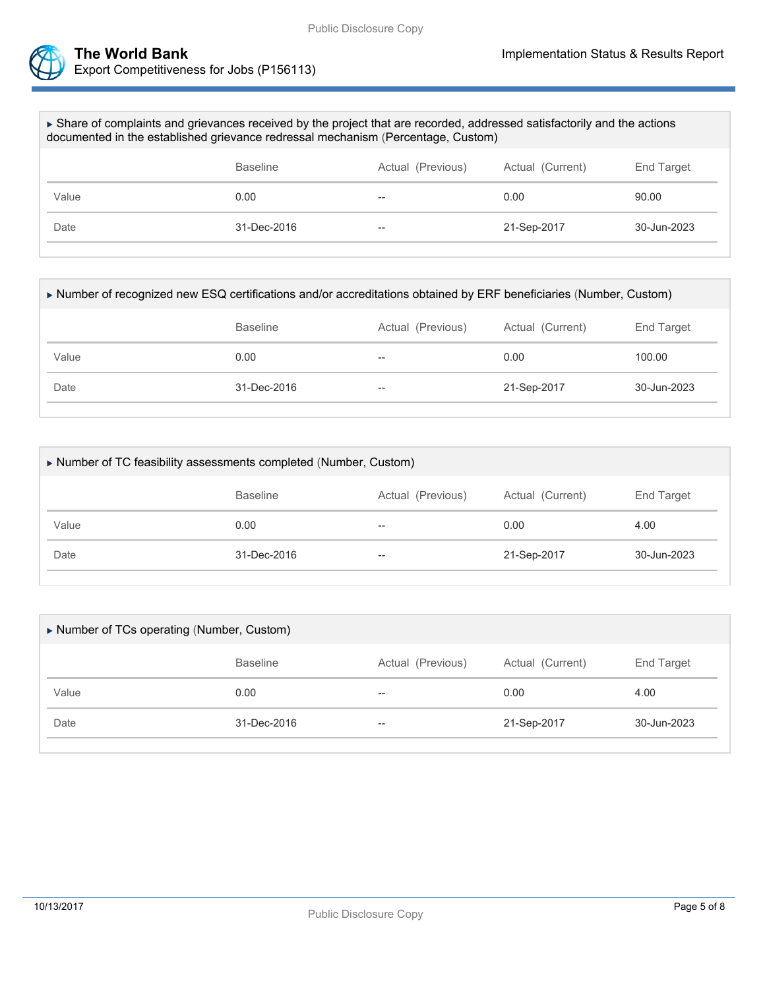



| ► Share of complaints and grievances received by the project that are recorded, addressed satisfactorily and the actions<br>documented in the established grievance redressal mechanism (Percentage, Custom) |                   |                  |             |                       |  |  |
|--------------------------------------------------------------------------------------------------------------------------------------------------------------------------------------------------------------|-------------------|------------------|-------------|-----------------------|--|--|
|                                                                                                                                                                                                              | <b>Baseline</b>   | Actual (Current) | End Target  |                       |  |  |
| Value                                                                                                                                                                                                        | 0.00              |                  | 0.00        | 90.00                 |  |  |
| Date                                                                                                                                                                                                         | $31 - Dec - 2016$ |                  | 21-Sep-2017 | $30 - \frac{1}{2023}$ |  |  |
|                                                                                                                                                                                                              |                   |                  |             |                       |  |  |

| Number of recognized new ESQ certifications and/or accreditations obtained by ERF beneficiaries (Number, Custom) |                                                                        |       |             |                       |  |  |  |
|------------------------------------------------------------------------------------------------------------------|------------------------------------------------------------------------|-------|-------------|-----------------------|--|--|--|
|                                                                                                                  | Actual (Current)<br>End Target<br><b>Baseline</b><br>Actual (Previous) |       |             |                       |  |  |  |
| Value                                                                                                            | 0.00                                                                   | $-$   | 0.00        | 100.00                |  |  |  |
| Date                                                                                                             | $31 - Dec - 2016$                                                      | $- -$ | 21-Sep-2017 | $30 - \frac{1}{2023}$ |  |  |  |
|                                                                                                                  |                                                                        |       |             |                       |  |  |  |

| Number of TC feasibility assessments completed (Number, Custom) |                 |                   |                  |                       |  |  |
|-----------------------------------------------------------------|-----------------|-------------------|------------------|-----------------------|--|--|
|                                                                 | <b>Baseline</b> | Actual (Previous) | Actual (Current) | End Target            |  |  |
| Value                                                           | 0.00            | --                | 0.00             | 4.00                  |  |  |
| Date                                                            | 31-Dec-2016     | --                | 21-Sep-2017      | $30 - \frac{1}{2023}$ |  |  |
|                                                                 |                 |                   |                  |                       |  |  |

| Number of TCs operating (Number, Custom) |                 |                          |                  |                   |  |  |
|------------------------------------------|-----------------|--------------------------|------------------|-------------------|--|--|
|                                          | <b>Baseline</b> | Actual (Previous)        | Actual (Current) | <b>End Target</b> |  |  |
| Value                                    | 0.00            | $- -$                    | 0.00             | 4.00              |  |  |
| Date                                     | 31-Dec-2016     | $\overline{\phantom{m}}$ | 21-Sep-2017      | 30-Jun-2023       |  |  |
|                                          |                 |                          |                  |                   |  |  |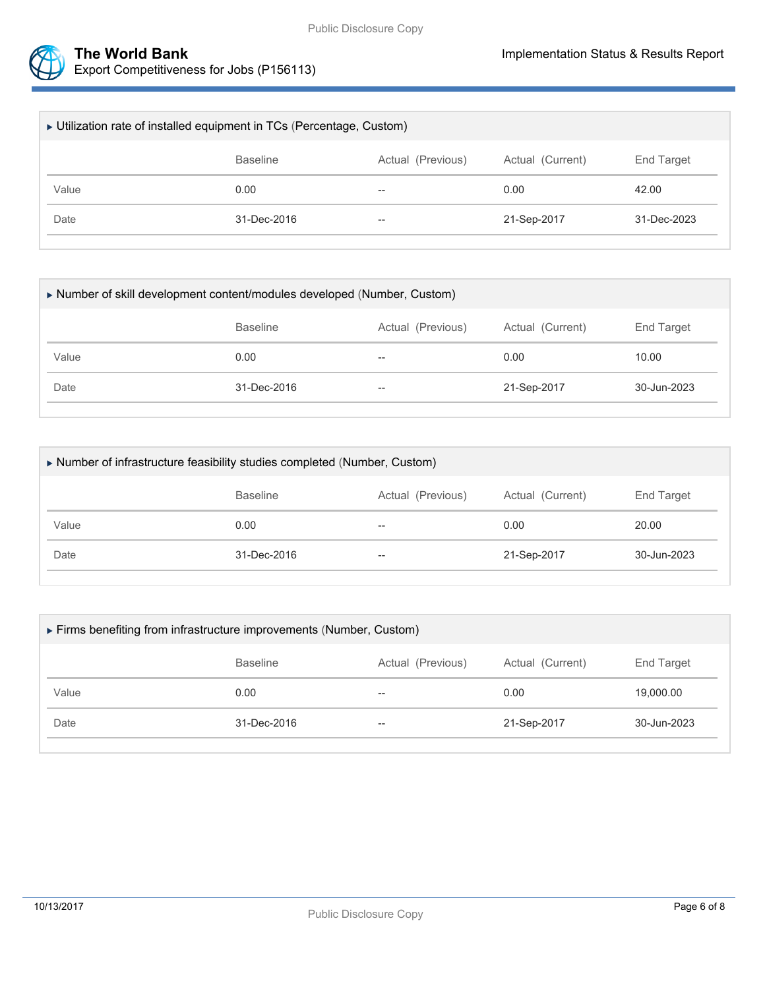



| ► Utilization rate of installed equipment in TCs (Percentage, Custom) |                                                          |                          |             |                   |  |  |
|-----------------------------------------------------------------------|----------------------------------------------------------|--------------------------|-------------|-------------------|--|--|
|                                                                       | Actual (Previous)<br>Actual (Current)<br><b>Baseline</b> |                          |             |                   |  |  |
| Value                                                                 | 0.00                                                     | $\overline{\phantom{m}}$ | 0.00        | 42.00             |  |  |
| Date                                                                  | 31-Dec-2016                                              | $\hspace{0.05cm}$        | 21-Sep-2017 | $31 - Dec - 2023$ |  |  |
|                                                                       |                                                          |                          |             |                   |  |  |

| Number of skill development content/modules developed (Number, Custom) |                 |                   |                  |             |  |  |
|------------------------------------------------------------------------|-----------------|-------------------|------------------|-------------|--|--|
|                                                                        | <b>Baseline</b> | Actual (Previous) | Actual (Current) | End Target  |  |  |
| Value                                                                  | 0.00            | $- -$             | 0.00             | 10.00       |  |  |
| Date                                                                   | 31-Dec-2016     | $- -$             | 21-Sep-2017      | 30-Jun-2023 |  |  |
|                                                                        |                 |                   |                  |             |  |  |

| Number of infrastructure feasibility studies completed (Number, Custom) |                 |                   |             |             |  |  |  |
|-------------------------------------------------------------------------|-----------------|-------------------|-------------|-------------|--|--|--|
|                                                                         | <b>Baseline</b> | <b>End Target</b> |             |             |  |  |  |
| Value                                                                   | 0.00            | $- -$             | 0.00        | 20.00       |  |  |  |
| Date                                                                    | 31-Dec-2016     | --                | 21-Sep-2017 | 30-Jun-2023 |  |  |  |
|                                                                         |                 |                   |             |             |  |  |  |

| Firms benefiting from infrastructure improvements (Number, Custom) |                 |                   |                  |             |  |  |
|--------------------------------------------------------------------|-----------------|-------------------|------------------|-------------|--|--|
|                                                                    | <b>Baseline</b> | Actual (Previous) | Actual (Current) | End Target  |  |  |
| Value                                                              | 0.00            | $- -$             | 0.00             | 19,000.00   |  |  |
| Date                                                               | 31-Dec-2016     | $- -$             | 21-Sep-2017      | 30-Jun-2023 |  |  |
|                                                                    |                 |                   |                  |             |  |  |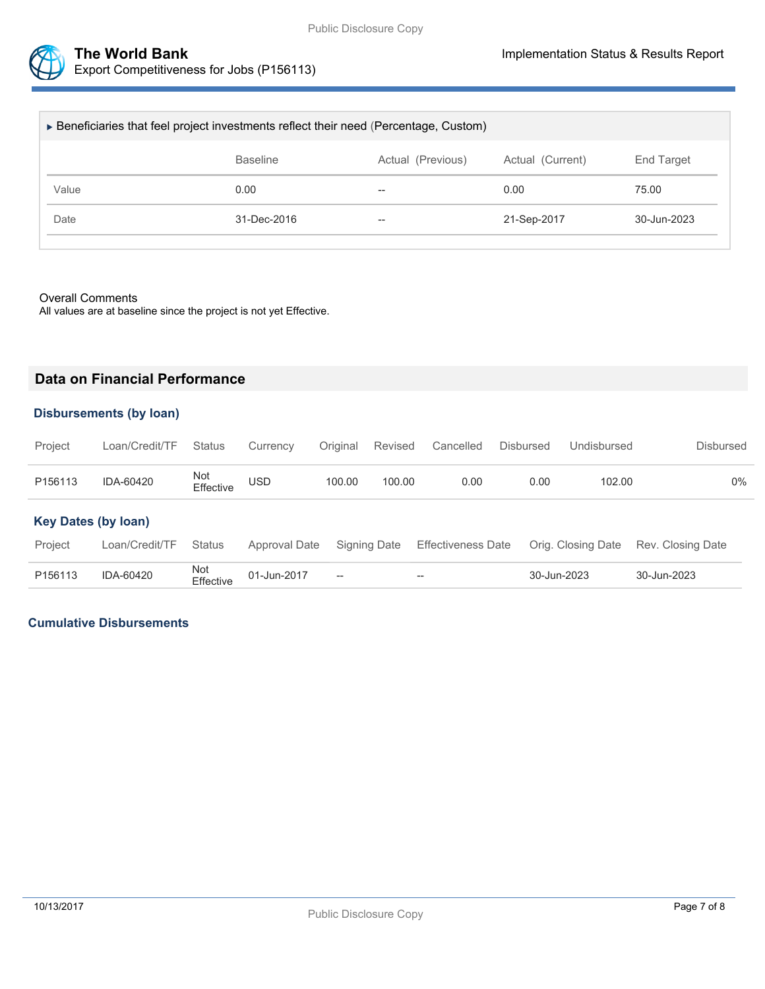

| ► Beneficiaries that feel project investments reflect their need (Percentage, Custom) |                                                                        |       |             |             |  |  |  |
|---------------------------------------------------------------------------------------|------------------------------------------------------------------------|-------|-------------|-------------|--|--|--|
|                                                                                       | <b>Baseline</b><br>Actual (Previous)<br>Actual (Current)<br>End Target |       |             |             |  |  |  |
| Value                                                                                 | 0.00                                                                   | $- -$ | 0.00        | 75.00       |  |  |  |
| Date                                                                                  | 31-Dec-2016                                                            | $- -$ | 21-Sep-2017 | 30-Jun-2023 |  |  |  |
|                                                                                       |                                                                        |       |             |             |  |  |  |

#### Overall Comments

All values are at baseline since the project is not yet Effective.

## **Data on Financial Performance**

#### **Disbursements (by loan)**

| Project | Loan/Credit/TF Status Currency Original Revised Cancelled Disbursed |                  |            |        |        |      |      | Undisbursed | Disbursed |
|---------|---------------------------------------------------------------------|------------------|------------|--------|--------|------|------|-------------|-----------|
| P156113 | IDA-60420                                                           | Not<br>Effective | <b>USD</b> | 100.00 | 100.00 | 0.00 | 0.00 | 102.00      | $0\%$     |

#### **Key Dates (by loan)**

| Project | Loan/Credit/TF Status |                               |                                                | Approval Date Signing Date Effectiveness Date Orig. Closing Date Rev. Closing Date |             |             |
|---------|-----------------------|-------------------------------|------------------------------------------------|------------------------------------------------------------------------------------|-------------|-------------|
| P156113 | IDA-60420             | Not<br>Effective  01-Jun-2017 | $\hspace{0.1mm}-\hspace{0.1mm}-\hspace{0.1mm}$ | $\overline{\phantom{a}}$                                                           | 30-Jun-2023 | 30-Jun-2023 |

#### **Cumulative Disbursements**